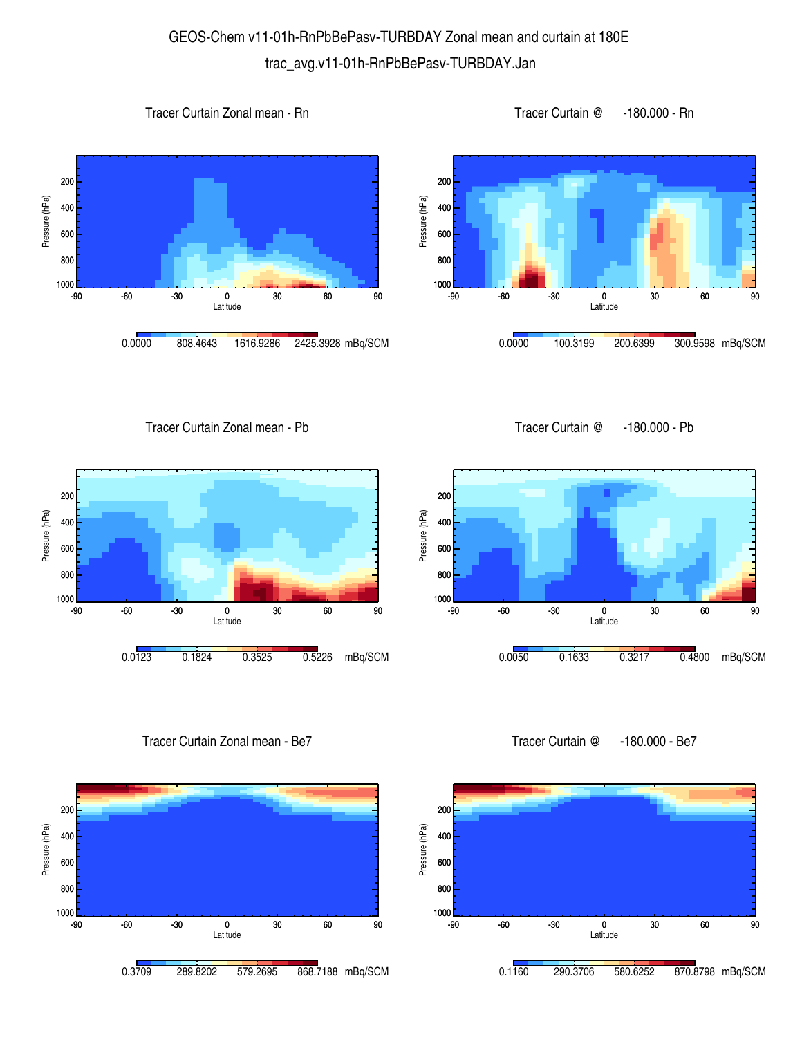## GEOS-Chem v11-01h-RnPbBePasv-TURBDAY Zonal mean and curtain at 180E trac\_avg.v11-01h-RnPbBePasv-TURBDAY.Jan

1000 <mark>L</mark><br>-90

800 600

400

Pressure (hPa)

Pressure (hPa)

200









Tracer Curtain Zonal mean - Pb





Tracer Curtain Zonal mean - Be7



0.0050 0.1633 0.3217 0.4800 mBq/SCM

-90 -60 -30 0 30 60 90 Latitude

Tracer Curtain @ -180.000 - Be7